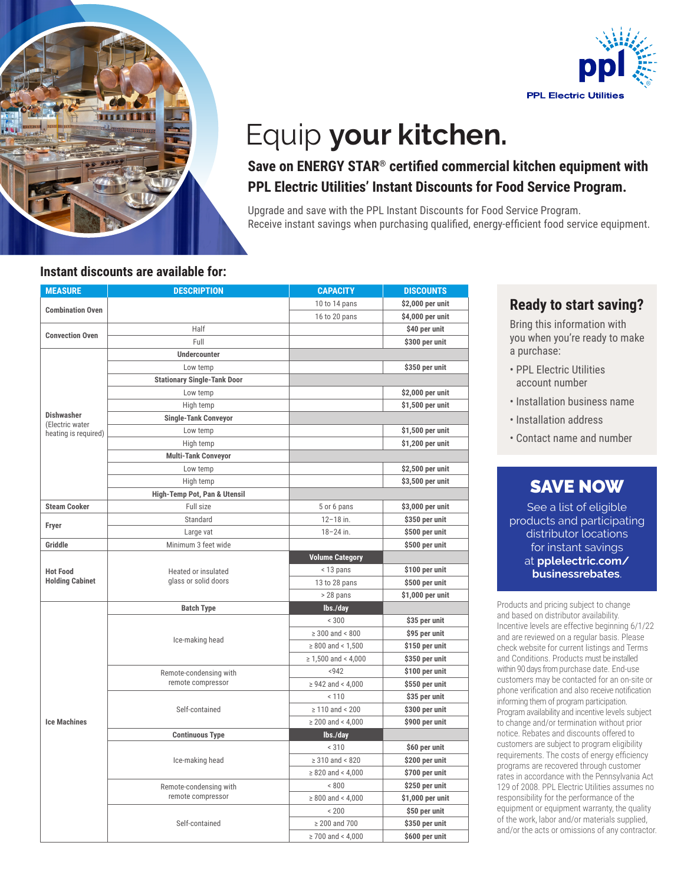



# Equip **your kitchen.**

### **Save on ENERGY STAR® certified commercial kitchen equipment with PPL Electric Utilities' Instant Discounts for Food Service Program.**

Upgrade and save with the PPL Instant Discounts for Food Service Program. Receive instant savings when purchasing qualified, energy-efficient food service equipment.

#### **Instant discounts are available for:**

| <b>MEASURE</b>                          | <b>DESCRIPTION</b>                          | <b>CAPACITY</b>          | <b>DISCOUNTS</b> |
|-----------------------------------------|---------------------------------------------|--------------------------|------------------|
|                                         |                                             | 10 to 14 pans            | \$2,000 per unit |
| <b>Combination Oven</b>                 |                                             | 16 to 20 pans            | \$4,000 per unit |
|                                         | Half                                        |                          | \$40 per unit    |
| <b>Convection Oven</b>                  | Full                                        |                          | \$300 per unit   |
|                                         | <b>Undercounter</b>                         |                          |                  |
|                                         | Low temp                                    |                          | \$350 per unit   |
|                                         | <b>Stationary Single-Tank Door</b>          |                          |                  |
|                                         | Low temp                                    |                          | \$2,000 per unit |
|                                         | High temp                                   |                          | \$1,500 per unit |
| <b>Dishwasher</b>                       | <b>Single-Tank Conveyor</b>                 |                          |                  |
| (Electric water<br>heating is required) | Low temp                                    |                          | \$1,500 per unit |
|                                         | High temp                                   |                          | \$1,200 per unit |
|                                         | <b>Multi-Tank Conveyor</b>                  |                          |                  |
|                                         | Low temp                                    |                          | \$2,500 per unit |
|                                         | High temp                                   |                          | \$3,500 per unit |
|                                         | High-Temp Pot, Pan & Utensil                |                          |                  |
| <b>Steam Cooker</b>                     | Full size                                   | 5 or 6 pans              | \$3,000 per unit |
|                                         | Standard                                    | $12 - 18$ in.            | \$350 per unit   |
| Fryer                                   | Large vat                                   | $18 - 24$ in.            | \$500 per unit   |
| Griddle                                 | Minimum 3 feet wide                         |                          | \$500 per unit   |
|                                         | Heated or insulated<br>glass or solid doors | <b>Volume Category</b>   |                  |
| <b>Hot Food</b>                         |                                             | < 13 pans                | \$100 per unit   |
| <b>Holding Cabinet</b>                  |                                             | 13 to 28 pans            | \$500 per unit   |
|                                         |                                             | > 28 pans                | \$1,000 per unit |
|                                         | <b>Batch Type</b>                           | lbs./day                 |                  |
|                                         | Ice-making head                             | < 300                    | \$35 per unit    |
|                                         |                                             | $\geq 300$ and < 800     | \$95 per unit    |
|                                         |                                             | $\geq 800$ and < 1,500   | \$150 per unit   |
|                                         |                                             | $\geq 1,500$ and < 4,000 | \$350 per unit   |
|                                         | Remote-condensing with<br>remote compressor | < 942                    | \$100 per unit   |
|                                         |                                             | $\geq$ 942 and < 4,000   | \$550 per unit   |
|                                         | Self-contained                              | < 110                    | \$35 per unit    |
|                                         |                                             | $\geq 110$ and < 200     | \$300 per unit   |
| <b>Ice Machines</b>                     |                                             | $\geq 200$ and < 4,000   | \$900 per unit   |
|                                         | <b>Continuous Type</b>                      | lbs./day                 |                  |
|                                         | Ice-making head                             | < 310                    | \$60 per unit    |
|                                         |                                             | $\geq 310$ and < 820     | \$200 per unit   |
|                                         |                                             | $\geq 820$ and < 4,000   | \$700 per unit   |
|                                         | Remote-condensing with                      | < 800                    | \$250 per unit   |
|                                         | remote compressor                           | $\geq 800$ and < 4,000   | \$1,000 per unit |
|                                         | Self-contained                              | < 200                    | \$50 per unit    |
|                                         |                                             | $\geq 200$ and 700       | \$350 per unit   |
|                                         |                                             | $\geq$ 700 and < 4.000   | \$600 per unit   |

#### **Ready to start saving?**

Bring this information with you when you're ready to make a purchase:

- PPL Electric Utilities account number
- Installation business name
- Installation address
- Contact name and number

# SAVE NOW

See a list of eligible products and participating distributor locations for instant savings at **pplelectric.com/ businessrebates**.

Products and pricing subject to change and based on distributor availability. Incentive levels are effective beginning 6/1/22 and are reviewed on a regular basis. Please check website for current listings and Terms and Conditions. Products must be installed within 90 days from purchase date. End-use customers may be contacted for an on-site or phone verification and also receive notification informing them of program participation. Program availability and incentive levels subject to change and/or termination without prior notice. Rebates and discounts offered to customers are subject to program eligibility requirements. The costs of energy efficiency programs are recovered through customer rates in accordance with the Pennsylvania Act 129 of 2008. PPL Electric Utilities assumes no responsibility for the performance of the equipment or equipment warranty, the quality of the work, labor and/or materials supplied, and/or the acts or omissions of any contractor.